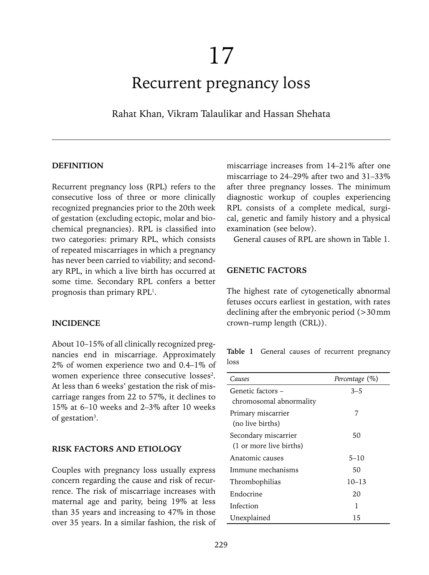# Recurrent pregnancy loss

Rahat Khan, Vikram Talaulikar and Hassan Shehata

#### **DEFINITION**

Recurrent pregnancy loss (RPL) refers to the consecutive loss of three or more clinically recognized pregnancies prior to the 20th week of gestation (excluding ectopic, molar and biochemical pregnancies). RPL is classified into two categories: primary RPL, which consists of repeated miscarriages in which a pregnancy has never been carried to viability; and secondary RPL, in which a live birth has occurred at some time. Secondary RPL confers a better prognosis than primary RPL<sup>1</sup>.

#### **INCIDENCE**

About 10–15% of all clinically recognized pregnancies end in miscarriage. Approximately 2% of women experience two and 0.4–1% of women experience three consecutive losses<sup>2</sup>. At less than 6 weeks' gestation the risk of miscarriage ranges from 22 to 57%, it declines to 15% at 6–10 weeks and 2–3% after 10 weeks of gestation<sup>3</sup>.

#### **RISK FACTORS AND ETIOLOGY**

Couples with pregnancy loss usually express concern regarding the cause and risk of recurrence. The risk of miscarriage increases with maternal age and parity, being 19% at less than 35 years and increasing to 47% in those over 35 years. In a similar fashion, the risk of miscarriage increases from 14–21% after one miscarriage to 24–29% after two and 31–33% after three pregnancy losses. The minimum diagnostic workup of couples experiencing RPL consists of a complete medical, surgical, genetic and family history and a physical examination (see below).

General causes of RPL are shown in Table 1.

#### **GENETIC FACTORS**

The highest rate of cytogenetically abnormal fetuses occurs earliest in gestation, with rates declining after the embryonic period (>30mm crown–rump length (CRL)).

**Table 1** General causes of recurrent pregnancy loss

| Causes                  | Percentage $(\%)$ |
|-------------------------|-------------------|
| Genetic factors –       | $3 - 5$           |
| chromosomal abnormality |                   |
| Primary miscarrier      | 7                 |
| (no live births)        |                   |
| Secondary miscarrier    | 50                |
| (1 or more live births) |                   |
| Anatomic causes         | $5 - 10$          |
| Immune mechanisms       | 50                |
| Thrombophilias          | $10 - 13$         |
| Endocrine               | 20                |
| Infection               | 1                 |
| Unexplained             | 15                |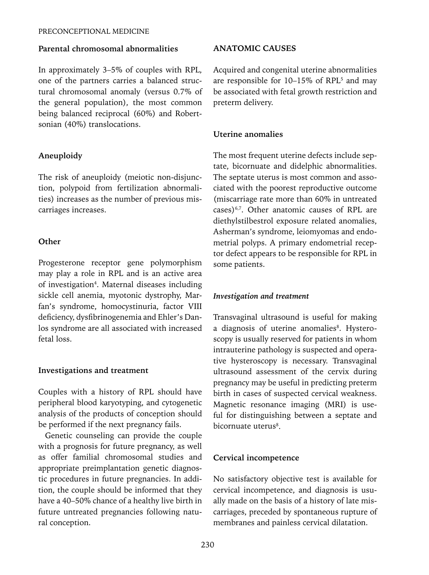## **Parental chromosomal abnormalities**

In approximately 3–5% of couples with RPL, one of the partners carries a balanced structural chromosomal anomaly (versus 0.7% of the general population), the most common being balanced reciprocal (60%) and Robertsonian (40%) translocations.

# **Aneuploidy**

The risk of aneuploidy (meiotic non-disjunction, polypoid from fertilization abnormalities) increases as the number of previous miscarriages increases.

# **Other**

Progesterone receptor gene polymorphism may play a role in RPL and is an active area of investigation<sup>4</sup>. Maternal diseases including sickle cell anemia, myotonic dystrophy, Marfan's syndrome, homocystinuria, factor VIII deficiency, dysfibrinogenemia and Ehler's Danlos syndrome are all associated with increased fetal loss.

# **Investigations and treatment**

Couples with a history of RPL should have peripheral blood karyotyping, and cytogenetic analysis of the products of conception should be performed if the next pregnancy fails.

Genetic counseling can provide the couple with a prognosis for future pregnancy, as well as offer familial chromosomal studies and appropriate preimplantation genetic diagnostic procedures in future pregnancies. In addition, the couple should be informed that they have a 40–50% chance of a healthy live birth in future untreated pregnancies following natural conception.

# **ANATOMIC CAUSES**

Acquired and congenital uterine abnormalities are responsible for  $10-15\%$  of RPL<sup>5</sup> and may be associated with fetal growth restriction and preterm delivery.

# **Uterine anomalies**

The most frequent uterine defects include septate, bicornuate and didelphic abnormalities. The septate uterus is most common and associated with the poorest reproductive outcome (miscarriage rate more than 60% in untreated cases)6,7. Other anatomic causes of RPL are diethylstilbestrol exposure related anomalies, Asherman's syndrome, leiomyomas and endometrial polyps. A primary endometrial receptor defect appears to be responsible for RPL in some patients.

# *Investigation and treatment*

Transvaginal ultrasound is useful for making a diagnosis of uterine anomalies<sup>8</sup>. Hysteroscopy is usually reserved for patients in whom intrauterine pathology is suspected and operative hysteroscopy is necessary. Transvaginal ultrasound assessment of the cervix during pregnancy may be useful in predicting preterm birth in cases of suspected cervical weakness. Magnetic resonance imaging (MRI) is useful for distinguishing between a septate and bicornuate uterus<sup>8</sup>.

# **Cervical incompetence**

No satisfactory objective test is available for cervical incompetence, and diagnosis is usually made on the basis of a history of late miscarriages, preceded by spontaneous rupture of membranes and painless cervical dilatation.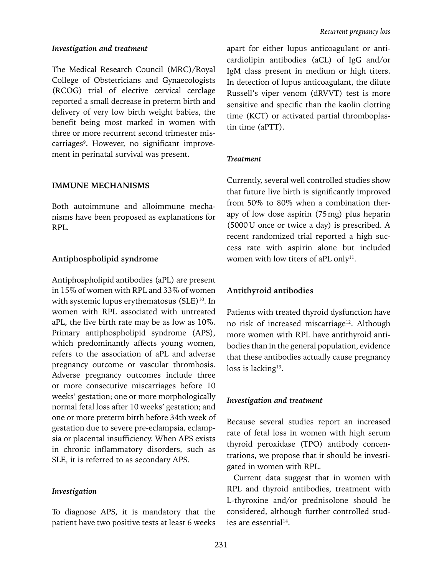#### *Investigation and treatment*

The Medical Research Council (MRC)/Royal College of Obstetricians and Gynaecologists (RCOG) trial of elective cervical cerclage reported a small decrease in preterm birth and delivery of very low birth weight babies, the benefit being most marked in women with three or more recurrent second trimester miscarriages<sup>9</sup>. However, no significant improvement in perinatal survival was present.

#### **IMMUNE MECHANISMS**

Both autoimmune and alloimmune mechanisms have been proposed as explanations for RPL.

#### **Antiphospholipid syndrome**

Antiphospholipid antibodies (aPL) are present in 15% of women with RPL and 33% of women with systemic lupus erythematosus (SLE)<sup>10</sup>. In women with RPL associated with untreated aPL, the live birth rate may be as low as 10%. Primary antiphospholipid syndrome (APS), which predominantly affects young women, refers to the association of aPL and adverse pregnancy outcome or vascular thrombosis. Adverse pregnancy outcomes include three or more consecutive miscarriages before 10 weeks' gestation; one or more morphologically normal fetal loss after 10 weeks' gestation; and one or more preterm birth before 34th week of gestation due to severe pre-eclampsia, eclampsia or placental insufficiency. When APS exists in chronic inflammatory disorders, such as SLE, it is referred to as secondary APS.

#### *Investigation*

To diagnose APS, it is mandatory that the patient have two positive tests at least 6 weeks

apart for either lupus anticoagulant or anticardiolipin antibodies (aCL) of IgG and/or IgM class present in medium or high titers. In detection of lupus anticoagulant, the dilute Russell's viper venom (dRVVT) test is more sensitive and specific than the kaolin clotting time (KCT) or activated partial thromboplastin time (aPTT).

#### *Treatment*

Currently, several well controlled studies show that future live birth is significantly improved from 50% to 80% when a combination therapy of low dose aspirin (75mg) plus heparin (5000U once or twice a day) is prescribed. A recent randomized trial reported a high success rate with aspirin alone but included women with low titers of aPL only<sup>11</sup>.

#### **Antithyroid antibodies**

Patients with treated thyroid dysfunction have no risk of increased miscarriage<sup>12</sup>. Although more women with RPL have antithyroid antibodies than in the general population, evidence that these antibodies actually cause pregnancy loss is lacking<sup>13</sup>.

#### *Investigation and treatment*

Because several studies report an increased rate of fetal loss in women with high serum thyroid peroxidase (TPO) antibody concentrations, we propose that it should be investigated in women with RPL.

Current data suggest that in women with RPL and thyroid antibodies, treatment with L-thyroxine and/or prednisolone should be considered, although further controlled studies are essential<sup>14</sup>.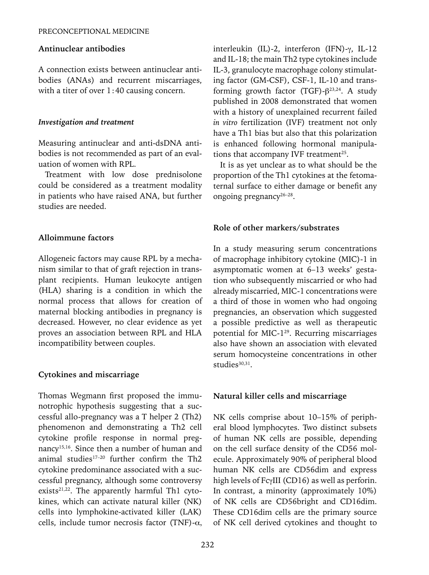#### **Antinuclear antibodies**

A connection exists between antinuclear antibodies (ANAs) and recurrent miscarriages, with a titer of over 1:40 causing concern.

#### *Investigation and treatment*

Measuring antinuclear and anti-dsDNA antibodies is not recommended as part of an evaluation of women with RPL.

Treatment with low dose prednisolone could be considered as a treatment modality in patients who have raised ANA, but further studies are needed.

#### **Alloimmune factors**

Allogeneic factors may cause RPL by a mechanism similar to that of graft rejection in transplant recipients. Human leukocyte antigen (HLA) sharing is a condition in which the normal process that allows for creation of maternal blocking antibodies in pregnancy is decreased. However, no clear evidence as yet proves an association between RPL and HLA incompatibility between couples.

#### **Cytokines and miscarriage**

Thomas Wegmann first proposed the immunotrophic hypothesis suggesting that a successful allo-pregnancy was a T helper 2 (Th2) phenomenon and demonstrating a Th2 cell cytokine profile response in normal pregnancy15,16. Since then a number of human and animal studies $17-20$  further confirm the Th2 cytokine predominance associated with a successful pregnancy, although some controversy exists $21,22$ . The apparently harmful Th1 cytokines, which can activate natural killer (NK) cells into lymphokine-activated killer (LAK) cells, include tumor necrosis factor (TNF)- $\alpha$ , interleukin (IL)-2, interferon (IFN)-γ, IL-12 and IL-18; the main Th2 type cytokines include IL-3, granulocyte macrophage colony stimulating factor (GM-CSF), CSF-1, IL-10 and transforming growth factor (TGF)- $\beta^{23,24}$ . A study published in 2008 demonstrated that women with a history of unexplained recurrent failed *in vitro* fertilization (IVF) treatment not only have a Th1 bias but also that this polarization is enhanced following hormonal manipulations that accompany IVF treatment<sup>25</sup>.

It is as yet unclear as to what should be the proportion of the Th1 cytokines at the fetomaternal surface to either damage or benefit any ongoing pregnancy<sup>26-28</sup>.

#### **Role of other markers/substrates**

In a study measuring serum concentrations of macrophage inhibitory cytokine (MIC)-1 in asymptomatic women at 6–13 weeks' gestation who subsequently miscarried or who had already miscarried, MIC-1 concentrations were a third of those in women who had ongoing pregnancies, an observation which suggested a possible predictive as well as therapeutic potential for MIC-129. Recurring miscarriages also have shown an association with elevated serum homocysteine concentrations in other  $studies<sup>30,31</sup>$ .

#### **Natural killer cells and miscarriage**

NK cells comprise about 10–15% of peripheral blood lymphocytes. Two distinct subsets of human NK cells are possible, depending on the cell surface density of the CD56 molecule. Approximately 90% of peripheral blood human NK cells are CD56dim and express high levels of FcγIII (CD16) as well as perforin. In contrast, a minority (approximately 10%) of NK cells are CD56bright and CD16dim. These CD16dim cells are the primary source of NK cell derived cytokines and thought to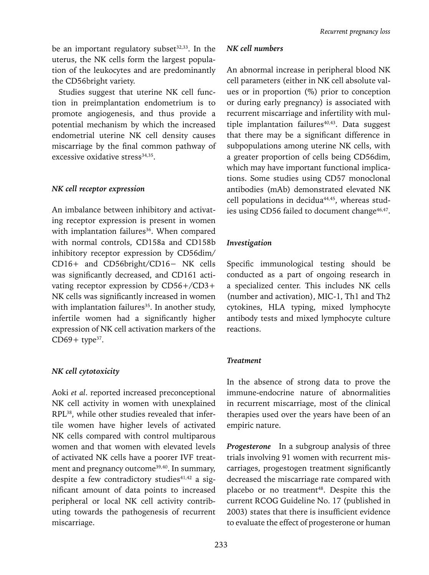be an important regulatory subset $32,33$ . In the uterus, the NK cells form the largest population of the leukocytes and are predominantly the CD56bright variety.

Studies suggest that uterine NK cell function in preimplantation endometrium is to promote angiogenesis, and thus provide a potential mechanism by which the increased endometrial uterine NK cell density causes miscarriage by the final common pathway of excessive oxidative stress<sup>34,35</sup>.

## *NK cell receptor expression*

An imbalance between inhibitory and activating receptor expression is present in women with implantation failures<sup>36</sup>. When compared with normal controls, CD158a and CD158b inhibitory receptor expression by CD56dim/ CD16+ and CD56bright/CD16− NK cells was significantly decreased, and CD161 activating receptor expression by CD56+/CD3+ NK cells was significantly increased in women with implantation failures<sup>35</sup>. In another study, infertile women had a significantly higher expression of NK cell activation markers of the  $CD69+$  type<sup>37</sup>.

# *NK cell cytotoxicity*

Aoki *et al*. reported increased preconceptional NK cell activity in women with unexplained RPL38, while other studies revealed that infertile women have higher levels of activated NK cells compared with control multiparous women and that women with elevated levels of activated NK cells have a poorer IVF treatment and pregnancy outcome<sup>39,40</sup>. In summary, despite a few contradictory studies<sup>41,42</sup> a significant amount of data points to increased peripheral or local NK cell activity contributing towards the pathogenesis of recurrent miscarriage.

## *NK cell numbers*

An abnormal increase in peripheral blood NK cell parameters (either in NK cell absolute values or in proportion (%) prior to conception or during early pregnancy) is associated with recurrent miscarriage and infertility with multiple implantation failures $40,43$ . Data suggest that there may be a significant difference in subpopulations among uterine NK cells, with a greater proportion of cells being CD56dim, which may have important functional implications. Some studies using CD57 monoclonal antibodies (mAb) demonstrated elevated NK cell populations in decidua<sup>44,45</sup>, whereas studies using CD56 failed to document change<sup>46,47</sup>.

# *Investigation*

Specific immunological testing should be conducted as a part of ongoing research in a specialized center. This includes NK cells (number and activation), MIC-1, Th1 and Th2 cytokines, HLA typing, mixed lymphocyte antibody tests and mixed lymphocyte culture reactions.

## *Treatment*

In the absence of strong data to prove the immune-endocrine nature of abnormalities in recurrent miscarriage, most of the clinical therapies used over the years have been of an empiric nature.

*Progesterone* In a subgroup analysis of three trials involving 91 women with recurrent miscarriages, progestogen treatment significantly decreased the miscarriage rate compared with placebo or no treatment<sup>48</sup>. Despite this the current RCOG Guideline No. 17 (published in 2003) states that there is insufficient evidence to evaluate the effect of progesterone or human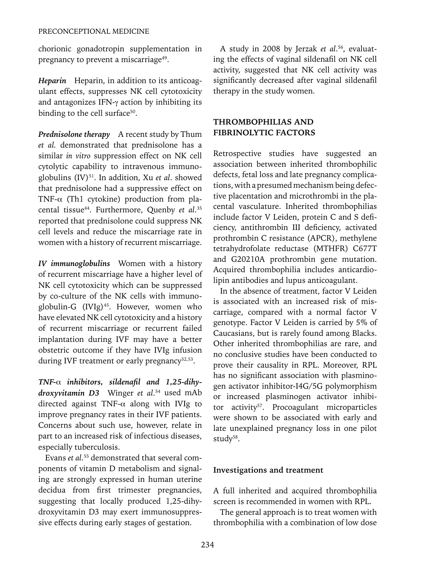chorionic gonadotropin supplementation in pregnancy to prevent a miscarriage<sup>49</sup>.

*Heparin* Heparin, in addition to its anticoagulant effects, suppresses NK cell cytotoxicity and antagonizes IFN-γ action by inhibiting its binding to the cell surface<sup>50</sup>.

**Prednisolone therapy** A recent study by Thum *et al.* demonstrated that prednisolone has a similar *in vitro* suppression effect on NK cell cytolytic capability to intravenous immunoglobulins (IV)51. In addition, Xu *et al*. showed that prednisolone had a suppressive effect on TNF- $\alpha$  (Th1 cytokine) production from placental tissue44. Furthermore, Quenby *et al*. 35 reported that prednisolone could suppress NK cell levels and reduce the miscarriage rate in women with a history of recurrent miscarriage.

*IV immunoglobulins* Women with a history of recurrent miscarriage have a higher level of NK cell cytotoxicity which can be suppressed by co-culture of the NK cells with immunoglobulin-G (IVIg)<sup>45</sup>. However, women who have elevated NK cell cytotoxicity and a history of recurrent miscarriage or recurrent failed implantation during IVF may have a better obstetric outcome if they have IVIg infusion during IVF treatment or early pregnancy<sup>52,53</sup>.

*TNF-*α *inhibitors, sildenafil and 1,25-dihydroxyvitamin D3* Winger *et al*. 54 used mAb directed against TNF- $\alpha$  along with IVIg to improve pregnancy rates in their IVF patients. Concerns about such use, however, relate in part to an increased risk of infectious diseases, especially tuberculosis.

Evans *et al*. 55 demonstrated that several components of vitamin D metabolism and signaling are strongly expressed in human uterine decidua from first trimester pregnancies, suggesting that locally produced 1,25-dihydroxyvitamin D3 may exert immunosuppressive effects during early stages of gestation.

A study in 2008 by Jerzak *et al*. 56, evaluating the effects of vaginal sildenafil on NK cell activity, suggested that NK cell activity was significantly decreased after vaginal sildenafil therapy in the study women.

# **THROMBOPHILIAS AND FIBRINOLYTIC FACTORS**

Retrospective studies have suggested an association between inherited thrombophilic defects, fetal loss and late pregnancy complications, with a presumed mechanism being defective placentation and microthrombi in the placental vasculature. Inherited thrombophilias include factor V Leiden, protein C and S deficiency, antithrombin III deficiency, activated prothrombin C resistance (APCR), methylene tetrahydrofolate reductase (MTHFR) C677T and G20210A prothrombin gene mutation. Acquired thrombophilia includes anticardiolipin antibodies and lupus anticoagulant.

In the absence of treatment, factor V Leiden is associated with an increased risk of miscarriage, compared with a normal factor V genotype. Factor V Leiden is carried by 5% of Caucasians, but is rarely found among Blacks. Other inherited thrombophilias are rare, and no conclusive studies have been conducted to prove their causality in RPL. Moreover, RPL has no significant association with plasminogen activator inhibitor-I4G/5G polymorphism or increased plasminogen activator inhibitor activity<sup>57</sup>. Procoagulant microparticles were shown to be associated with early and late unexplained pregnancy loss in one pilot study<sup>58</sup>.

## **Investigations and treatment**

A full inherited and acquired thrombophilia screen is recommended in women with RPL.

The general approach is to treat women with thrombophilia with a combination of low dose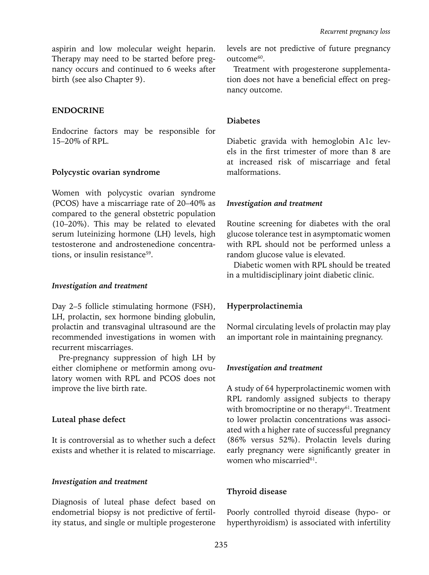aspirin and low molecular weight heparin. Therapy may need to be started before pregnancy occurs and continued to 6 weeks after birth (see also Chapter 9).

## **ENDOCRINE**

Endocrine factors may be responsible for 15–20% of RPL.

#### **Polycystic ovarian syndrome**

Women with polycystic ovarian syndrome (PCOS) have a miscarriage rate of 20–40% as compared to the general obstetric population (10–20%). This may be related to elevated serum luteinizing hormone (LH) levels, high testosterone and androstenedione concentrations, or insulin resistance<sup>59</sup>.

#### *Investigation and treatment*

Day 2–5 follicle stimulating hormone (FSH), LH, prolactin, sex hormone binding globulin, prolactin and transvaginal ultrasound are the recommended investigations in women with recurrent miscarriages.

Pre-pregnancy suppression of high LH by either clomiphene or metformin among ovulatory women with RPL and PCOS does not improve the live birth rate.

## **Luteal phase defect**

It is controversial as to whether such a defect exists and whether it is related to miscarriage.

## *Investigation and treatment*

Diagnosis of luteal phase defect based on endometrial biopsy is not predictive of fertility status, and single or multiple progesterone levels are not predictive of future pregnancy outcome<sup>60</sup>.

Treatment with progesterone supplementation does not have a beneficial effect on pregnancy outcome.

## **Diabetes**

Diabetic gravida with hemoglobin A1c levels in the first trimester of more than 8 are at increased risk of miscarriage and fetal malformations.

#### *Investigation and treatment*

Routine screening for diabetes with the oral glucose tolerance test in asymptomatic women with RPL should not be performed unless a random glucose value is elevated.

Diabetic women with RPL should be treated in a multidisciplinary joint diabetic clinic.

## **Hyperprolactinemia**

Normal circulating levels of prolactin may play an important role in maintaining pregnancy.

## *Investigation and treatment*

A study of 64 hyperprolactinemic women with RPL randomly assigned subjects to therapy with bromocriptine or no therapy $61$ . Treatment to lower prolactin concentrations was associated with a higher rate of successful pregnancy (86% versus 52%). Prolactin levels during early pregnancy were significantly greater in women who miscarried<sup>61</sup>.

## **Thyroid disease**

Poorly controlled thyroid disease (hypo- or hyperthyroidism) is associated with infertility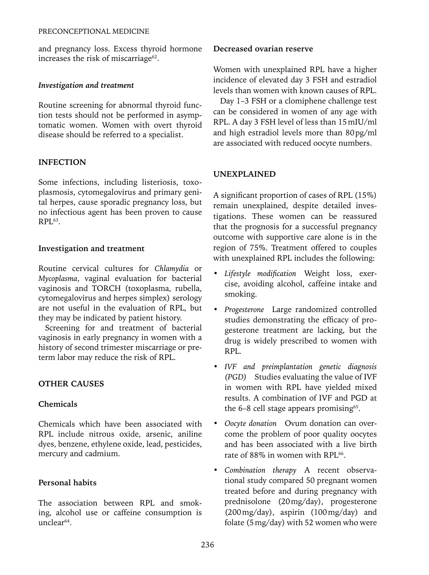and pregnancy loss. Excess thyroid hormone increases the risk of miscarriage<sup>62</sup>.

## *Investigation and treatment*

Routine screening for abnormal thyroid function tests should not be performed in asymptomatic women. Women with overt thyroid disease should be referred to a specialist.

# **INFECTION**

Some infections, including listeriosis, toxoplasmosis, cytomegalovirus and primary genital herpes, cause sporadic pregnancy loss, but no infectious agent has been proven to cause  $RPI.63$ 

## **Investigation and treatment**

Routine cervical cultures for *Chlamydia* or *Mycoplasma*, vaginal evaluation for bacterial vaginosis and TORCH (toxoplasma, rubella, cytomegalovirus and herpes simplex) serology are not useful in the evaluation of RPL, but they may be indicated by patient history.

Screening for and treatment of bacterial vaginosis in early pregnancy in women with a history of second trimester miscarriage or preterm labor may reduce the risk of RPL.

# **OTHER CAUSES**

# **Chemicals**

Chemicals which have been associated with RPL include nitrous oxide, arsenic, aniline dyes, benzene, ethylene oxide, lead, pesticides, mercury and cadmium.

# **Personal habits**

The association between RPL and smoking, alcohol use or caffeine consumption is unclear64.

## **Decreased ovarian reserve**

Women with unexplained RPL have a higher incidence of elevated day 3 FSH and estradiol levels than women with known causes of RPL.

Day 1–3 FSH or a clomiphene challenge test can be considered in women of any age with RPL. A day 3 FSH level of less than 15mIU/ml and high estradiol levels more than 80pg/ml are associated with reduced oocyte numbers.

# **UNEXPLAINED**

A significant proportion of cases of RPL (15%) remain unexplained, despite detailed investigations. These women can be reassured that the prognosis for a successful pregnancy outcome with supportive care alone is in the region of 75%. Treatment offered to couples with unexplained RPL includes the following:

- *Lifestyle modification* Weight loss, exercise, avoiding alcohol, caffeine intake and smoking.
- *Progesterone* Large randomized controlled studies demonstrating the efficacy of progesterone treatment are lacking, but the drug is widely prescribed to women with RPL.
- *IVF and preimplantation genetic diagnosis (PGD)* Studies evaluating the value of IVF in women with RPL have yielded mixed results. A combination of IVF and PGD at the  $6-8$  cell stage appears promising<sup>65</sup>.
- *Oocyte donation* Ovum donation can overcome the problem of poor quality oocytes and has been associated with a live birth rate of 88% in women with RPL<sup>66</sup>.
- *Combination therapy* A recent observational study compared 50 pregnant women treated before and during pregnancy with prednisolone (20mg/day), progesterone (200mg/day), aspirin (100mg/day) and folate (5mg/day) with 52 women who were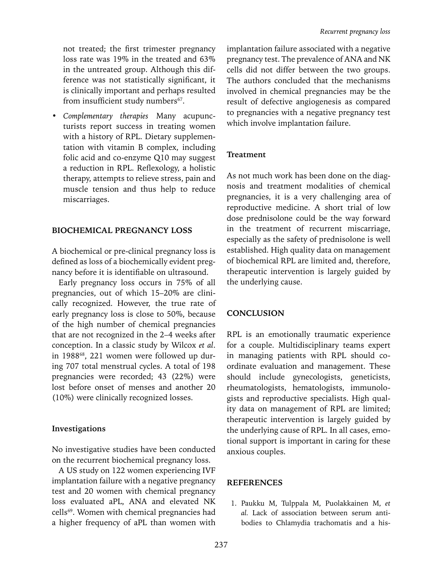not treated; the first trimester pregnancy loss rate was 19% in the treated and 63% in the untreated group. Although this difference was not statistically significant, it is clinically important and perhaps resulted from insufficient study numbers<sup>67</sup>.

• *Complementary therapies* Many acupuncturists report success in treating women with a history of RPL. Dietary supplementation with vitamin B complex, including folic acid and co-enzyme Q10 may suggest a reduction in RPL. Reflexology, a holistic therapy, attempts to relieve stress, pain and muscle tension and thus help to reduce miscarriages.

#### **BIOCHEMICAL PREGNANCY LOSS**

A biochemical or pre-clinical pregnancy loss is defined as loss of a biochemically evident pregnancy before it is identifiable on ultrasound.

Early pregnancy loss occurs in 75% of all pregnancies, out of which 15–20% are clinically recognized. However, the true rate of early pregnancy loss is close to 50%, because of the high number of chemical pregnancies that are not recognized in the 2–4 weeks after conception. In a classic study by Wilcox *et al*. in 1988<sup>68</sup>, 221 women were followed up during 707 total menstrual cycles. A total of 198 pregnancies were recorded; 43 (22%) were lost before onset of menses and another 20 (10%) were clinically recognized losses.

#### **Investigations**

No investigative studies have been conducted on the recurrent biochemical pregnancy loss.

A US study on 122 women experiencing IVF implantation failure with a negative pregnancy test and 20 women with chemical pregnancy loss evaluated aPL, ANA and elevated NK cells69. Women with chemical pregnancies had a higher frequency of aPL than women with

implantation failure associated with a negative pregnancy test. The prevalence of ANA and NK cells did not differ between the two groups. The authors concluded that the mechanisms involved in chemical pregnancies may be the result of defective angiogenesis as compared to pregnancies with a negative pregnancy test which involve implantation failure.

#### **Treatment**

As not much work has been done on the diagnosis and treatment modalities of chemical pregnancies, it is a very challenging area of reproductive medicine. A short trial of low dose prednisolone could be the way forward in the treatment of recurrent miscarriage, especially as the safety of prednisolone is well established. High quality data on management of biochemical RPL are limited and, therefore, therapeutic intervention is largely guided by the underlying cause.

#### **Conclusion**

RPL is an emotionally traumatic experience for a couple. Multidisciplinary teams expert in managing patients with RPL should coordinate evaluation and management. These should include gynecologists, geneticists, rheumatologists, hematologists, immunologists and reproductive specialists. High quality data on management of RPL are limited; therapeutic intervention is largely guided by the underlying cause of RPL. In all cases, emotional support is important in caring for these anxious couples.

#### **References**

1. Paukku M, Tulppala M, Puolakkainen M, *et al.* Lack of association between serum antibodies to Chlamydia trachomatis and a his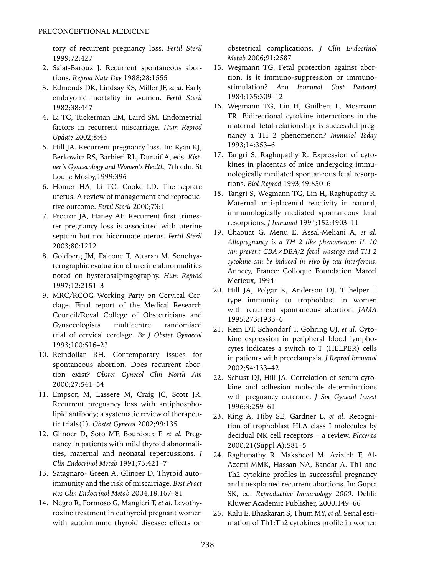tory of recurrent pregnancy loss. *Fertil Steril*  1999;72:427

- 2. Salat-Baroux J. Recurrent spontaneous abortions. *Reprod Nutr Dev* 1988;28:1555
- 3. Edmonds DK, Lindsay KS, Miller JF, *et al.* Early embryonic mortality in women. *Fertil Steril*  1982;38:447
- 4. Li TC, Tuckerman EM, Laird SM. Endometrial factors in recurrent miscarriage. *Hum Reprod Update* 2002;8:43
- 5. Hill JA. Recurrent pregnancy loss. In: Ryan KJ, Berkowitz RS, Barbieri RL, Dunaif A, eds. *Kistner's Gynaecology and Women's Health*, 7th edn. St Louis: Mosby,1999:396
- 6. Homer HA, Li TC, Cooke LD. The septate uterus: A review of management and reproductive outcome. *Fertil Steril* 2000;73:1
- 7. Proctor JA, Haney AF. Recurrent first trimester pregnancy loss is associated with uterine septum but not bicornuate uterus. *Fertil Steril*  2003;80:1212
- 8. Goldberg JM, Falcone T, Attaran M. Sonohysterographic evaluation of uterine abnormalities noted on hysterosalpingography. *Hum Reprod* 1997;12:2151–3
- 9. MRC/RCOG Working Party on Cervical Cerclage. Final report of the Medical Research Council/Royal College of Obstetricians and Gynaecologists multicentre randomised trial of cervical cerclage. *Br J Obstet Gynaecol*  1993;100:516–23
- 10. Reindollar RH. Contemporary issues for spontaneous abortion. Does recurrent abortion exist? *Obstet Gynecol Clin North Am*  2000;27:541–54
- 11. Empson M, Lassere M, Craig JC, Scott JR. Recurrent pregnancy loss with antiphospholipid antibody; a systematic review of therapeutic trials(1). *Obstet Gynecol* 2002;99:135
- 12. Glinoer D, Soto MF, Bourdoux P, *et al.* Pregnancy in patients with mild thyroid abnormalities; maternal and neonatal repercussions. *J Clin Endocrinol Metab* 1991;73:421–7
- 13. Satagnaro- Green A, Glinoer D. Thyroid autoimmunity and the risk of miscarriage. *Best Pract Res Clin Endocrinol Metab* 2004;18:167–81
- 14. Negro R, Formoso G, Mangieri T, *et al.* Levothyroxine treatment in euthyroid pregnant women with autoimmune thyroid disease: effects on

obstetrical complications. *J Clin Endocrinol Metab* 2006;91:2587

- 15. Wegmann TG. Fetal protection against abortion: is it immuno-suppression or immunostimulation? *Ann Immunol (Inst Pasteur)*  1984;135:309–12
- 16. Wegmann TG, Lin H, Guilbert L, Mosmann TR. Bidirectional cytokine interactions in the maternal–fetal relationship: is successful pregnancy a TH 2 phenomenon? *Immunol Today* 1993;14:353–6
- 17. Tangri S, Raghupathy R. Expression of cytokines in placentas of mice undergoing immunologically mediated spontaneous fetal resorptions. *Biol Reprod* 1993;49:850–6
- 18. Tangri S, Wegmann TG, Lin H, Raghupathy R. Maternal anti-placental reactivity in natural, immunologically mediated spontaneous fetal resorptions. *J Immunol* 1994;152:4903–11
- 19. Chaouat G, Menu E, Assal-Meliani A, *et al. Allopregnancy is a TH 2 like phenomenon: IL 10 can prevent CBA×DBA/2 fetal wastage and TH 2 cytokine can be induced in vivo by tau interferons*. Annecy, France: Colloque Foundation Marcel Merieux, 1994
- 20. Hill JA, Polgar K, Anderson DJ. T helper 1 type immunity to trophoblast in women with recurrent spontaneous abortion. *JAMA* 1995;273:1933–6
- 21. Rein DT, Schondorf T, Gohring UJ, *et al.* Cytokine expression in peripheral blood lymphocytes indicates a switch to T (HELPER) cells in patients with preeclampsia. *J Reprod Immunol*  2002;54:133–42
- 22. Schust DJ, Hill JA. Correlation of serum cytokine and adhesion molecule determinations with pregnancy outcome. *J Soc Gynecol Invest* 1996;3:259–61
- 23. King A, Hiby SE, Gardner L, *et al.* Recognition of trophoblast HLA class I molecules by decidual NK cell receptors – a review. *Placenta* 2000;21(Suppl A):S81–5
- 24. Raghupathy R, Maksheed M, Azizieh F, Al-Azemi MMK, Hassan NA, Bandar A. Th1 and Th2 cytokine profiles in successful pregnancy and unexplained recurrent abortions. In: Gupta SK, ed. *Reproductive Immunology 2000*. Dehli: Kluwer Academic Publisher, 2000:149–66
- 25. Kalu E, Bhaskaran S, Thum MY, *et al.* Serial estimation of Th1:Th2 cytokines profile in women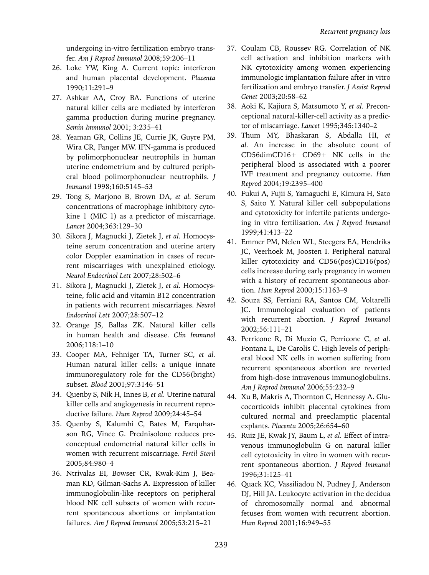undergoing in-vitro fertilization embryo transfer. *Am J Reprod Immunol* 2008;59:206–11

- 26. Loke YW, King A. Current topic: interferon and human placental development. *Placenta* 1990;11:291–9
- 27. Ashkar AA, Croy BA. Functions of uterine natural killer cells are mediated by interferon gamma production during murine pregnancy. *Semin Immunol* 2001; 3:235–41
- 28. Yeaman GR, Collins JE, Currie JK, Guyre PM, Wira CR, Fanger MW. IFN-gamma is produced by polimorphonuclear neutrophils in human uterine endometrium and by cultured peripheral blood polimorphonuclear neutrophils. *J Immunol* 1998;160:5145–53
- 29. Tong S, Marjono B, Brown DA, *et al.* Serum concentrations of macrophage inhibitory cytokine 1 (MIC 1) as a predictor of miscarriage. *Lancet* 2004;363:129–30
- 30. Sikora J, Magnucki J, Zietek J, *et al.* Homocysteine serum concentration and uterine artery color Doppler examination in cases of recurrent miscarriages with unexplained etiology. *Neurol Endocrinol Lett* 2007;28:502–6
- 31. Sikora J, Magnucki J, Zietek J, *et al.* Homocysteine, folic acid and vitamin B12 concentration in patients with recurrent miscarriages. *Neurol Endocrinol Lett* 2007;28:507–12
- 32. Orange JS, Ballas ZK. Natural killer cells in human health and disease. *Clin Immunol*  2006;118:1–10
- 33. Cooper MA, Fehniger TA, Turner SC, *et al.*  Human natural killer cells: a unique innate immunoregulatory role for the CD56(bright) subset. *Blood* 2001;97:3146–51
- 34. Quenby S, Nik H, Innes B, *et al.* Uterine natural killer cells and angiogenesis in recurrent reproductive failure. *Hum Reprod* 2009;24:45–54
- 35. Quenby S, Kalumbi C, Bates M, Farquharson RG, Vince G. Prednisolone reduces preconceptual endometrial natural killer cells in women with recurrent miscarriage. *Fertil Steril*  2005;84:980–4
- 36. Ntrivalas EI, Bowser CR, Kwak-Kim J, Beaman KD, Gilman-Sachs A. Expression of killer immunoglobulin-like receptors on peripheral blood NK cell subsets of women with recurrent spontaneous abortions or implantation failures. *Am J Reprod Immunol* 2005;53:215–21
- 37. Coulam CB, Roussev RG. Correlation of NK cell activation and inhibition markers with NK cytotoxicity among women experiencing immunologic implantation failure after in vitro fertilization and embryo transfer. *J Assist Reprod Genet* 2003;20:58–62
- 38. Aoki K, Kajiura S, Matsumoto Y, *et al.* Preconceptional natural-killer-cell activity as a predictor of miscarriage. *Lancet* 1995;345:1340–2
- 39. Thum MY, Bhaskaran S, Abdalla HI, *et al.* An increase in the absolute count of CD56dimCD16+ CD69+ NK cells in the peripheral blood is associated with a poorer IVF treatment and pregnancy outcome. *Hum Reprod* 2004;19:2395–400
- 40. Fukui A, Fujii S, Yamaguchi E, Kimura H, Sato S, Saito Y. Natural killer cell subpopulations and cytotoxicity for infertile patients undergoing in vitro fertilisation. *Am J Reprod Immunol*  1999;41:413–22
- 41. Emmer PM, Nelen WL, Steegers EA, Hendriks JC, Veerhoek M, Joosten I. Peripheral natural killer cytotoxicity and CD56(pos)CD16(pos) cells increase during early pregnancy in women with a history of recurrent spontaneous abortion. *Hum Reprod* 2000;15:1163–9
- 42. Souza SS, Ferriani RA, Santos CM, Voltarelli JC. Immunological evaluation of patients with recurrent abortion. *J Reprod Immunol*  2002;56:111–21
- 43. Perricone R, Di Muzio G, Perricone C, *et al*. Fontana L, De Carolis C. High levels of peripheral blood NK cells in women suffering from recurrent spontaneous abortion are reverted from high-dose intravenous immunoglobulins. *Am J Reprod Immunol* 2006;55:232–9
- 44. Xu B, Makris A, Thornton C, Hennessy A. Glucocorticoids inhibit placental cytokines from cultured normal and preeclamptic placental explants. *Placenta* 2005;26:654–60
- 45. Ruiz JE, Kwak JY, Baum L, *et al.* Effect of intravenous immunoglobulin G on natural killer cell cytotoxicity in vitro in women with recurrent spontaneous abortion. *J Reprod Immunol*  1996;31:125–41
- 46. Quack KC, Vassiliadou N, Pudney J, Anderson DJ, Hill JA. Leukocyte activation in the decidua of chromosomally normal and abnormal fetuses from women with recurrent abortion. *Hum Reprod* 2001;16:949–55